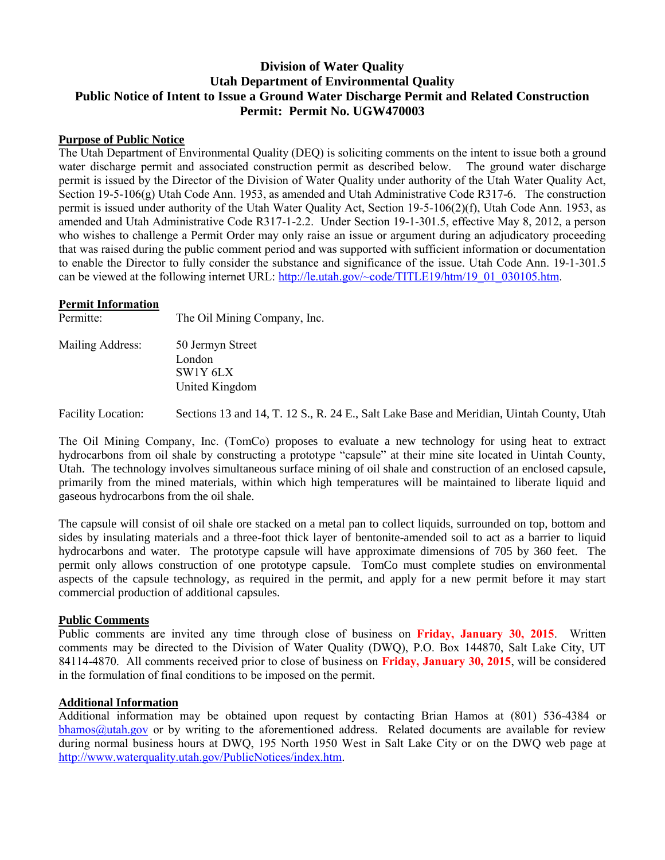# **Division of Water Quality Utah Department of Environmental Quality Public Notice of Intent to Issue a Ground Water Discharge Permit and Related Construction Permit: Permit No. UGW470003**

### **Purpose of Public Notice**

The Utah Department of Environmental Quality (DEQ) is soliciting comments on the intent to issue both a ground water discharge permit and associated construction permit as described below. The ground water discharge permit is issued by the Director of the Division of Water Quality under authority of the Utah Water Quality Act, Section 19-5-106(g) Utah Code Ann. 1953, as amended and Utah Administrative Code R317-6. The construction permit is issued under authority of the Utah Water Quality Act, Section 19-5-106(2)(f), Utah Code Ann. 1953, as amended and Utah Administrative Code R317-1-2.2. Under Section 19-1-301.5, effective May 8, 2012, a person who wishes to challenge a Permit Order may only raise an issue or argument during an adjudicatory proceeding that was raised during the public comment period and was supported with sufficient information or documentation to enable the Director to fully consider the substance and significance of the issue. Utah Code Ann. 19-1-301.5 can be viewed at the following internet URL: [http://le.utah.gov/~code/TITLE19/htm/19\\_01\\_030105.htm.](http://le.utah.gov/~code/TITLE19/htm/19_01_030105.htm)

#### **Permit Information**

| Permitte:        | The Oil Mining Company, Inc. |
|------------------|------------------------------|
| Mailing Address: | 50 Jermyn Street<br>London   |

SW1Y 6LX United Kingdom

Facility Location: Sections 13 and 14, T. 12 S., R. 24 E., Salt Lake Base and Meridian, Uintah County, Utah

The Oil Mining Company, Inc. (TomCo) proposes to evaluate a new technology for using heat to extract hydrocarbons from oil shale by constructing a prototype "capsule" at their mine site located in Uintah County, Utah. The technology involves simultaneous surface mining of oil shale and construction of an enclosed capsule, primarily from the mined materials, within which high temperatures will be maintained to liberate liquid and gaseous hydrocarbons from the oil shale.

The capsule will consist of oil shale ore stacked on a metal pan to collect liquids, surrounded on top, bottom and sides by insulating materials and a three-foot thick layer of bentonite-amended soil to act as a barrier to liquid hydrocarbons and water. The prototype capsule will have approximate dimensions of 705 by 360 feet. The permit only allows construction of one prototype capsule. TomCo must complete studies on environmental aspects of the capsule technology, as required in the permit, and apply for a new permit before it may start commercial production of additional capsules.

#### **Public Comments**

Public comments are invited any time through close of business on **Friday, January 30, 2015**. Written comments may be directed to the Division of Water Quality (DWQ), P.O. Box 144870, Salt Lake City, UT 84114-4870. All comments received prior to close of business on **Friday, January 30, 2015**, will be considered in the formulation of final conditions to be imposed on the permit.

## **Additional Information**

Additional information may be obtained upon request by contacting Brian Hamos at (801) 536-4384 or  $b$ hamos $@$ utah.gov or by writing to the aforementioned address. Related documents are available for review during normal business hours at DWQ, 195 North 1950 West in Salt Lake City or on the DWQ web page at [http://www.waterquality.utah.gov/PublicNotices/index.htm.](http://www.waterquality.utah.gov/PublicNotices/index.htm)